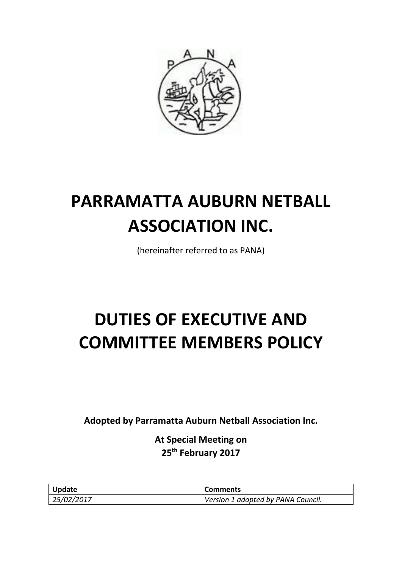

# **PARRAMATTA AUBURN NETBALL ASSOCIATION INC.**

(hereinafter referred to as PANA)

# **DUTIES OF EXECUTIVE AND COMMITTEE MEMBERS POLICY**

**Adopted by Parramatta Auburn Netball Association Inc.**

**At Special Meeting on 25th February 2017**

| Update     | <b>Comments</b>                    |
|------------|------------------------------------|
| 25/02/2017 | Version 1 adopted by PANA Council. |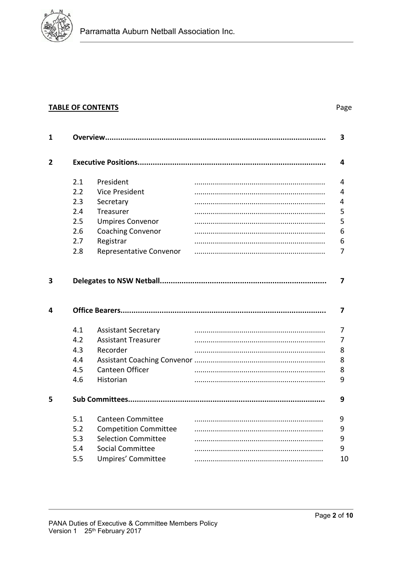

# **TABLE OF CONTENTS**

# Page

| 1      |     |                              |  | 3      |
|--------|-----|------------------------------|--|--------|
| 2      |     |                              |  | 4      |
|        | 2.1 | President                    |  | 4      |
|        | 2.2 | <b>Vice President</b>        |  | 4      |
|        | 2.3 | Secretary                    |  | 4      |
|        | 2.4 | Treasurer                    |  | 5      |
|        | 2.5 | <b>Umpires Convenor</b>      |  | 5      |
|        | 2.6 | <b>Coaching Convenor</b>     |  | 6      |
|        | 2.7 | Registrar                    |  | 6      |
|        | 2.8 | Representative Convenor      |  | 7      |
| 3<br>4 |     |                              |  | 7<br>7 |
|        |     |                              |  |        |
|        | 4.1 | <b>Assistant Secretary</b>   |  | 7      |
|        | 4.2 | <b>Assistant Treasurer</b>   |  | 7      |
|        | 4.3 | Recorder                     |  | 8      |
|        | 4.4 |                              |  | 8      |
|        | 4.5 | Canteen Officer              |  | 8      |
|        | 4.6 | Historian                    |  | 9      |
| 5      |     |                              |  | 9      |
|        | 5.1 | <b>Canteen Committee</b>     |  | 9      |
|        | 5.2 | <b>Competition Committee</b> |  | 9      |
|        | 5.3 | <b>Selection Committee</b>   |  | 9      |
|        | 5.4 | <b>Social Committee</b>      |  | 9      |
|        | 5.5 | Umpires' Committee           |  | 10     |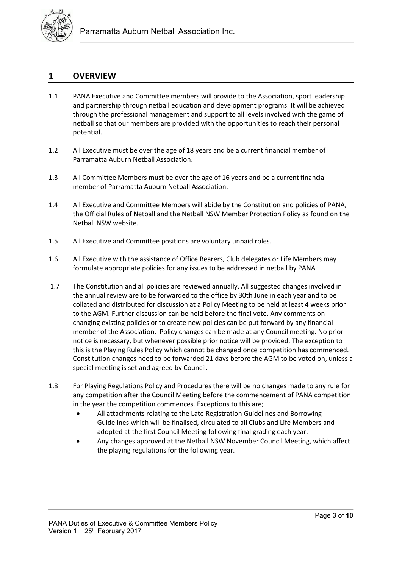

# **1 OVERVIEW**

- 1.1 PANA Executive and Committee members will provide to the Association, sport leadership and partnership through netball education and development programs. It will be achieved through the professional management and support to all levels involved with the game of netball so that our members are provided with the opportunities to reach their personal potential.
- 1.2 All Executive must be over the age of 18 years and be a current financial member of Parramatta Auburn Netball Association.
- 1.3 All Committee Members must be over the age of 16 years and be a current financial member of Parramatta Auburn Netball Association.
- 1.4 All Executive and Committee Members will abide by the Constitution and policies of PANA, the Official Rules of Netball and the Netball NSW Member Protection Policy as found on the Netball NSW website.
- 1.5 All Executive and Committee positions are voluntary unpaid roles.
- 1.6 All Executive with the assistance of Office Bearers, Club delegates or Life Members may formulate appropriate policies for any issues to be addressed in netball by PANA.
- 1.7 The Constitution and all policies are reviewed annually. All suggested changes involved in the annual review are to be forwarded to the office by 30th June in each year and to be collated and distributed for discussion at a Policy Meeting to be held at least 4 weeks prior to the AGM. Further discussion can be held before the final vote. Any comments on changing existing policies or to create new policies can be put forward by any financial member of the Association. Policy changes can be made at any Council meeting. No prior notice is necessary, but whenever possible prior notice will be provided. The exception to this is the Playing Rules Policy which cannot be changed once competition has commenced. Constitution changes need to be forwarded 21 days before the AGM to be voted on, unless a special meeting is set and agreed by Council.
- 1.8 For Playing Regulations Policy and Procedures there will be no changes made to any rule for any competition after the Council Meeting before the commencement of PANA competition in the year the competition commences. Exceptions to this are;
	- All attachments relating to the Late Registration Guidelines and Borrowing Guidelines which will be finalised, circulated to all Clubs and Life Members and adopted at the first Council Meeting following final grading each year.
	- Any changes approved at the Netball NSW November Council Meeting, which affect the playing regulations for the following year.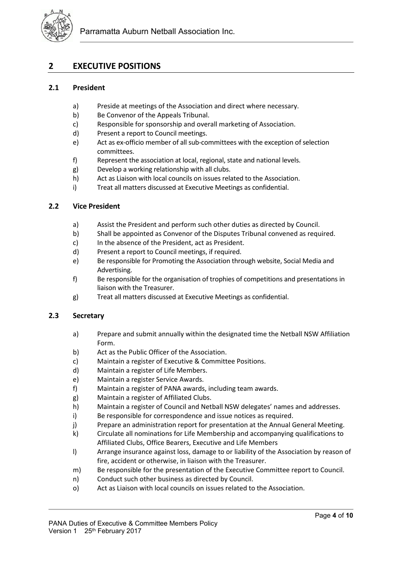

# **2 EXECUTIVE POSITIONS**

#### **2.1 President**

- a) Preside at meetings of the Association and direct where necessary.
- b) Be Convenor of the Appeals Tribunal.
- c) Responsible for sponsorship and overall marketing of Association.
- d) Present a report to Council meetings.
- e) Act as ex-officio member of all sub-committees with the exception of selection committees.
- f) Represent the association at local, regional, state and national levels.
- g) Develop a working relationship with all clubs.
- h) Act as Liaison with local councils on issues related to the Association.
- i) Treat all matters discussed at Executive Meetings as confidential.

# **2.2 Vice President**

- a) Assist the President and perform such other duties as directed by Council.
- b) Shall be appointed as Convenor of the Disputes Tribunal convened as required.
- c) In the absence of the President, act as President.
- d) Present a report to Council meetings, if required.
- e) Be responsible for Promoting the Association through website, Social Media and Advertising.
- f) Be responsible for the organisation of trophies of competitions and presentations in liaison with the Treasurer.
- g) Treat all matters discussed at Executive Meetings as confidential.

# **2.3 Secretary**

- a) Prepare and submit annually within the designated time the Netball NSW Affiliation Form.
- b) Act as the Public Officer of the Association.
- c) Maintain a register of Executive & Committee Positions.
- d) Maintain a register of Life Members.
- e) Maintain a register Service Awards.
- f) Maintain a register of PANA awards, including team awards.
- g) Maintain a register of Affiliated Clubs.
- h) Maintain a register of Council and Netball NSW delegates' names and addresses.
- i) Be responsible for correspondence and issue notices as required.
- j) Prepare an administration report for presentation at the Annual General Meeting.
- k) Circulate all nominations for Life Membership and accompanying qualifications to Affiliated Clubs, Office Bearers, Executive and Life Members
- l) Arrange insurance against loss, damage to or liability of the Association by reason of fire, accident or otherwise, in liaison with the Treasurer.
- m) Be responsible for the presentation of the Executive Committee report to Council.
- n) Conduct such other business as directed by Council.
- o) Act as Liaison with local councils on issues related to the Association.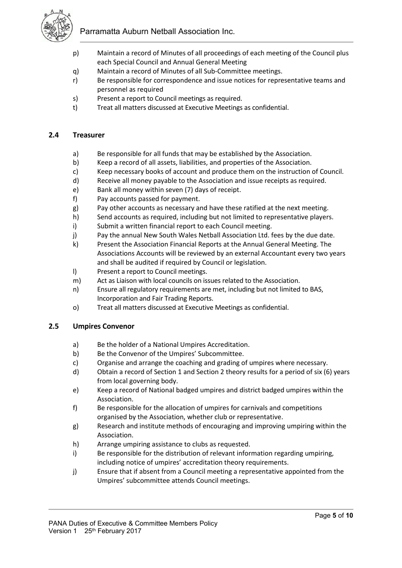Parramatta Auburn Netball Association Inc.



- p) Maintain a record of Minutes of all proceedings of each meeting of the Council plus each Special Council and Annual General Meeting
- q) Maintain a record of Minutes of all Sub-Committee meetings.
- r) Be responsible for correspondence and issue notices for representative teams and personnel as required
- s) Present a report to Council meetings as required.
- t) Treat all matters discussed at Executive Meetings as confidential.

# **2.4 Treasurer**

- a) Be responsible for all funds that may be established by the Association.
- b) Keep a record of all assets, liabilities, and properties of the Association.
- c) Keep necessary books of account and produce them on the instruction of Council.
- d) Receive all money payable to the Association and issue receipts as required.
- e) Bank all money within seven (7) days of receipt.
- f) Pay accounts passed for payment.
- g) Pay other accounts as necessary and have these ratified at the next meeting.
- h) Send accounts as required, including but not limited to representative players.
- i) Submit a written financial report to each Council meeting.
- j) Pay the annual New South Wales Netball Association Ltd. fees by the due date.
- k) Present the Association Financial Reports at the Annual General Meeting. The Associations Accounts will be reviewed by an external Accountant every two years and shall be audited if required by Council or legislation.
- l) Present a report to Council meetings.
- m) Act as Liaison with local councils on issues related to the Association.
- n) Ensure all regulatory requirements are met, including but not limited to BAS, Incorporation and Fair Trading Reports.
- o) Treat all matters discussed at Executive Meetings as confidential.

# **2.5 Umpires Convenor**

- a) Be the holder of a National Umpires Accreditation.
- b) Be the Convenor of the Umpires' Subcommittee.
- c) Organise and arrange the coaching and grading of umpires where necessary.
- d) Obtain a record of Section 1 and Section 2 theory results for a period of six (6) years from local governing body.
- e) Keep a record of National badged umpires and district badged umpires within the Association.
- f) Be responsible for the allocation of umpires for carnivals and competitions organised by the Association, whether club or representative.
- g) Research and institute methods of encouraging and improving umpiring within the Association.
- h) Arrange umpiring assistance to clubs as requested.
- i) Be responsible for the distribution of relevant information regarding umpiring, including notice of umpires' accreditation theory requirements.
- j) Ensure that if absent from a Council meeting a representative appointed from the Umpires' subcommittee attends Council meetings.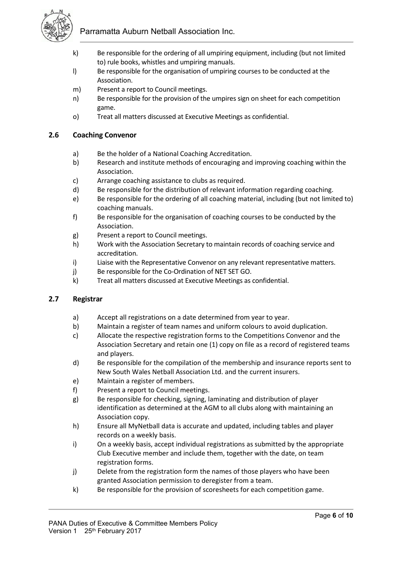

Parramatta Auburn Netball Association Inc.

- k) Be responsible for the ordering of all umpiring equipment, including (but not limited to) rule books, whistles and umpiring manuals.
- l) Be responsible for the organisation of umpiring courses to be conducted at the Association.
- m) Present a report to Council meetings.
- n) Be responsible for the provision of the umpires sign on sheet for each competition game.
- o) Treat all matters discussed at Executive Meetings as confidential.

# **2.6 Coaching Convenor**

- a) Be the holder of a National Coaching Accreditation.
- b) Research and institute methods of encouraging and improving coaching within the Association.
- c) Arrange coaching assistance to clubs as required.
- d) Be responsible for the distribution of relevant information regarding coaching.
- e) Be responsible for the ordering of all coaching material, including (but not limited to) coaching manuals.
- f) Be responsible for the organisation of coaching courses to be conducted by the Association.
- g) Present a report to Council meetings.
- h) Work with the Association Secretary to maintain records of coaching service and accreditation.
- i) Liaise with the Representative Convenor on any relevant representative matters.
- j) Be responsible for the Co-Ordination of NET SET GO.
- k) Treat all matters discussed at Executive Meetings as confidential.

# **2.7 Registrar**

- a) Accept all registrations on a date determined from year to year.
- b) Maintain a register of team names and uniform colours to avoid duplication.
- c) Allocate the respective registration forms to the Competitions Convenor and the Association Secretary and retain one (1) copy on file as a record of registered teams and players.
- d) Be responsible for the compilation of the membership and insurance reports sent to New South Wales Netball Association Ltd. and the current insurers.
- e) Maintain a register of members.
- f) Present a report to Council meetings.
- g) Be responsible for checking, signing, laminating and distribution of player identification as determined at the AGM to all clubs along with maintaining an Association copy.
- h) Ensure all MyNetball data is accurate and updated, including tables and player records on a weekly basis.
- i) On a weekly basis, accept individual registrations as submitted by the appropriate Club Executive member and include them, together with the date, on team registration forms.
- j) Delete from the registration form the names of those players who have been granted Association permission to deregister from a team.
- k) Be responsible for the provision of scoresheets for each competition game.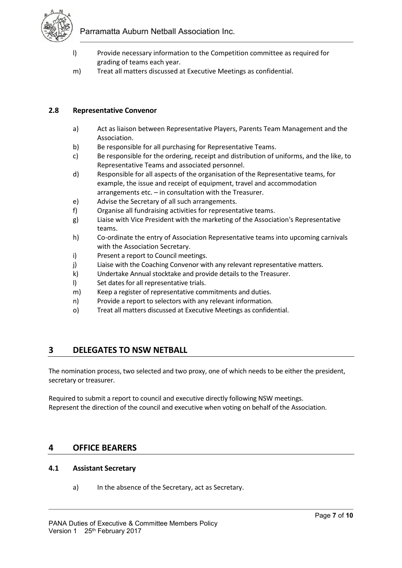

- l) Provide necessary information to the Competition committee as required for grading of teams each year.
- m) Treat all matters discussed at Executive Meetings as confidential.

# **2.8 Representative Convenor**

- a) Act as liaison between Representative Players, Parents Team Management and the Association.
- b) Be responsible for all purchasing for Representative Teams.
- c) Be responsible for the ordering, receipt and distribution of uniforms, and the like, to Representative Teams and associated personnel.
- d) Responsible for all aspects of the organisation of the Representative teams, for example, the issue and receipt of equipment, travel and accommodation arrangements etc. – in consultation with the Treasurer.
- e) Advise the Secretary of all such arrangements.
- f) Organise all fundraising activities for representative teams.
- g) Liaise with Vice President with the marketing of the Association's Representative teams.
- h) Co-ordinate the entry of Association Representative teams into upcoming carnivals with the Association Secretary.
- i) Present a report to Council meetings.
- j) Liaise with the Coaching Convenor with any relevant representative matters.
- k) Undertake Annual stocktake and provide details to the Treasurer.
- l) Set dates for all representative trials.
- m) Keep a register of representative commitments and duties.
- n) Provide a report to selectors with any relevant information.
- o) Treat all matters discussed at Executive Meetings as confidential.

# **3 DELEGATES TO NSW NETBALL**

The nomination process, two selected and two proxy, one of which needs to be either the president, secretary or treasurer.

Required to submit a report to council and executive directly following NSW meetings. Represent the direction of the council and executive when voting on behalf of the Association.

# **4 OFFICE BEARERS**

# **4.1 Assistant Secretary**

a) In the absence of the Secretary, act as Secretary.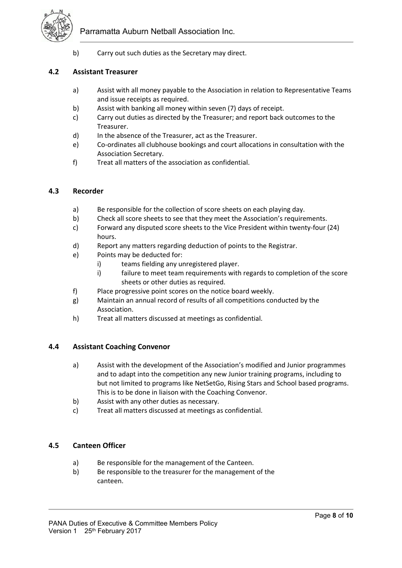

b) Carry out such duties as the Secretary may direct.

#### **4.2 Assistant Treasurer**

- a) Assist with all money payable to the Association in relation to Representative Teams and issue receipts as required.
- b) Assist with banking all money within seven (7) days of receipt.
- c) Carry out duties as directed by the Treasurer; and report back outcomes to the Treasurer.
- d) In the absence of the Treasurer, act as the Treasurer.
- e) Co-ordinates all clubhouse bookings and court allocations in consultation with the Association Secretary.
- f) Treat all matters of the association as confidential.

#### **4.3 Recorder**

- a) Be responsible for the collection of score sheets on each playing day.
- b) Check all score sheets to see that they meet the Association's requirements.
- c) Forward any disputed score sheets to the Vice President within twenty-four (24) hours.
- d) Report any matters regarding deduction of points to the Registrar.
- e) Points may be deducted for:
	- i) teams fielding any unregistered player.
	- i) failure to meet team requirements with regards to completion of the score sheets or other duties as required.
- f) Place progressive point scores on the notice board weekly.
- g) Maintain an annual record of results of all competitions conducted by the Association.
- h) Treat all matters discussed at meetings as confidential.

#### **4.4 Assistant Coaching Convenor**

- a) Assist with the development of the Association's modified and Junior programmes and to adapt into the competition any new Junior training programs, including to but not limited to programs like NetSetGo, Rising Stars and School based programs. This is to be done in liaison with the Coaching Convenor.
- b) Assist with any other duties as necessary.
- c) Treat all matters discussed at meetings as confidential.

# **4.5 Canteen Officer**

- a) Be responsible for the management of the Canteen.
- b) Be responsible to the treasurer for the management of the canteen.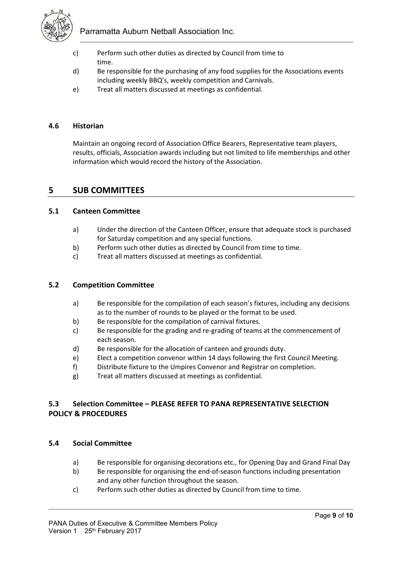

Parramatta Auburn Netball Association Inc.

- c) Perform such other duties as directed by Council from time to time.
- d) Be responsible for the purchasing of any food supplies for the Associations events including weekly BBQ's, weekly competition and Carnivals.
- e) Treat all matters discussed at meetings as confidential.

#### **4.6 Historian**

Maintain an ongoing record of Association Office Bearers, Representative team players, results, officials, Association awards including but not limited to life memberships and other information which would record the history of the Association.

# **5 SUB COMMITTEES**

#### **5.1 Canteen Committee**

- a) Under the direction of the Canteen Officer, ensure that adequate stock is purchased for Saturday competition and any special functions.
- b) Perform such other duties as directed by Council from time to time.
- c) Treat all matters discussed at meetings as confidential.

#### **5.2 Competition Committee**

- a) Be responsible for the compilation of each season's fixtures, including any decisions as to the number of rounds to be played or the format to be used.
- b) Be responsible for the compilation of carnival fixtures.
- c) Be responsible for the grading and re-grading of teams at the commencement of each season.
- d) Be responsible for the allocation of canteen and grounds duty.
- e) Elect a competition convenor within 14 days following the first Council Meeting.
- f) Distribute fixture to the Umpires Convenor and Registrar on completion.
- g) Treat all matters discussed at meetings as confidential.

# **5.3 Selection Committee – PLEASE REFER TO PANA REPRESENTATIVE SELECTION POLICY & PROCEDURES**

#### **5.4 Social Committee**

- a) Be responsible for organising decorations etc., for Opening Day and Grand Final Day
- b) Be responsible for organising the end-of-season functions including presentation and any other function throughout the season.
- c) Perform such other duties as directed by Council from time to time.